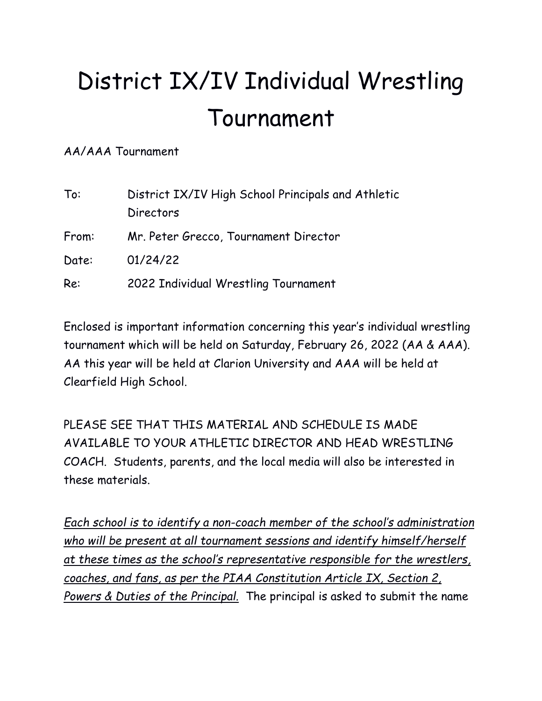# District IX/IV Individual Wrestling Tournament

AA/AAA Tournament

| To:   | District IX/IV High School Principals and Athletic |  |  |
|-------|----------------------------------------------------|--|--|
|       | Directors                                          |  |  |
| From: | Mr. Peter Grecco, Tournament Director              |  |  |
| Date: | 01/24/22                                           |  |  |
| Re:   | 2022 Individual Wrestling Tournament               |  |  |

Enclosed is important information concerning this year's individual wrestling tournament which will be held on Saturday, February 26, 2022 (AA & AAA). AA this year will be held at Clarion University and AAA will be held at Clearfield High School.

PLEASE SEE THAT THIS MATERIAL AND SCHEDULE IS MADE AVAILABLE TO YOUR ATHLETIC DIRECTOR AND HEAD WRESTLING COACH. Students, parents, and the local media will also be interested in these materials.

*Each school is to identify a non-coach member of the school's administration who will be present at all tournament sessions and identify himself/herself at these times as the school's representative responsible for the wrestlers, coaches, and fans, as per the PIAA Constitution Article IX, Section 2, Powers & Duties of the Principal.* The principal is asked to submit the name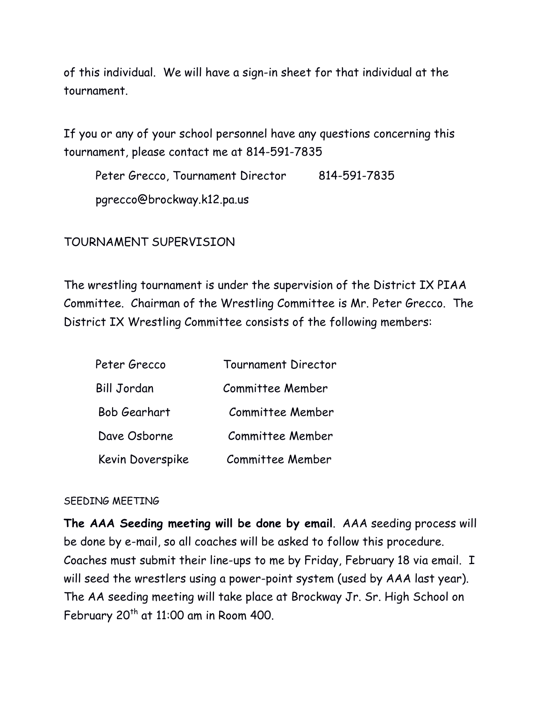of this individual. We will have a sign-in sheet for that individual at the tournament.

If you or any of your school personnel have any questions concerning this tournament, please contact me at 814-591-7835

Peter Grecco, Tournament Director 814-591-7835 pgrecco@brockway.k12.pa.us

# TOURNAMENT SUPERVISION

The wrestling tournament is under the supervision of the District IX PIAA Committee. Chairman of the Wrestling Committee is Mr. Peter Grecco. The District IX Wrestling Committee consists of the following members:

| Peter Grecco       | <b>Tournament Director</b> |
|--------------------|----------------------------|
| <b>Bill Jordan</b> | Committee Member           |
| Bob Gearhart       | Committee Member           |
| Dave Osborne       | Committee Member           |
| Kevin Doverspike   | Committee Member           |

# SEEDING MEETING

**The AAA Seeding meeting will be done by email**. AAA seeding process will be done by e-mail, so all coaches will be asked to follow this procedure. Coaches must submit their line-ups to me by Friday, February 18 via email. I will seed the wrestlers using a power-point system (used by AAA last year). The AA seeding meeting will take place at Brockway Jr. Sr. High School on February  $20^{th}$  at 11:00 am in Room 400.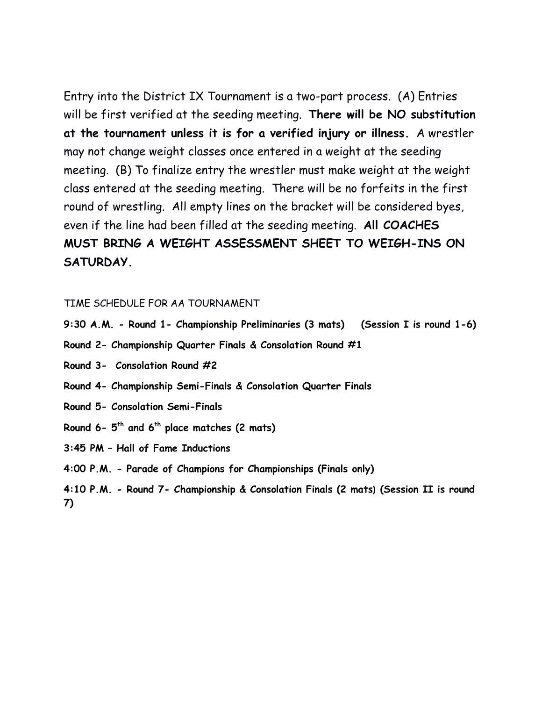Entry into the District IX Tournament is a two-part process. (A) Entries will be first verified at the seeding meeting. **There will be NO substitution at the tournament unless it is for a verified injury or illness.** A wrestler may not change weight classes once entered in a weight at the seeding meeting. (B) To finalize entry the wrestler must make weight at the weight class entered at the seeding meeting. There will be no forfeits in the first round of wrestling. All empty lines on the bracket will be considered byes, even if the line had been filled at the seeding meeting. **All COACHES MUST BRING A WEIGHT ASSESSMENT SHEET TO WEIGH-INS ON SATURDAY.**

#### TIME SCHEDULE FOR AA TOURNAMENT

- **9:30 A.M. - Round 1- Championship Preliminaries (3 mats) (Session I is round 1-6)**
- **Round 2- Championship Quarter Finals & Consolation Round #1**
- **Round 3- Consolation Round #2**
- **Round 4- Championship Semi-Finals & Consolation Quarter Finals**
- **Round 5- Consolation Semi-Finals**
- **Round 6- 5th and 6th place matches (2 mats)**
- **3:45 PM – Hall of Fame Inductions**
- **4:00 P.M. - Parade of Champions for Championships (Finals only)**
- **4:10 P.M. - Round 7- Championship & Consolation Finals (2 mats) (Session II is round 7)**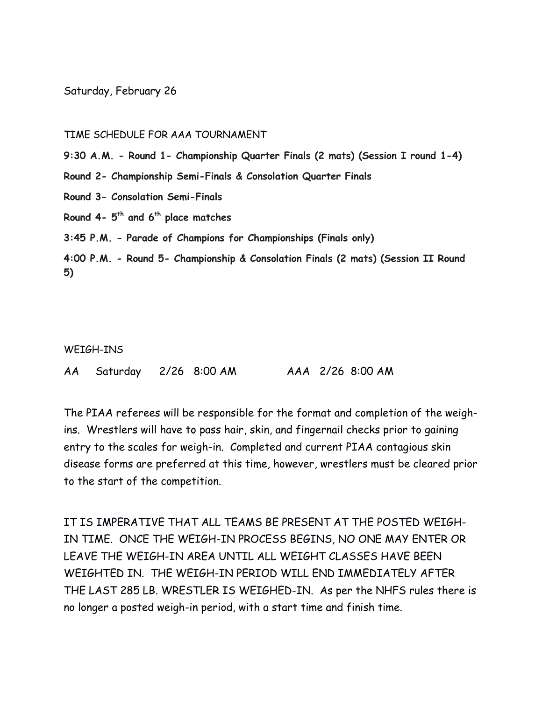Saturday, February 26

#### TIME SCHEDULE FOR AAA TOURNAMENT

**9:30 A.M. - Round 1- Championship Quarter Finals (2 mats) (Session I round 1-4)**

**Round 2- Championship Semi-Finals & Consolation Quarter Finals**

**Round 3- Consolation Semi-Finals**

**Round 4- 5th and 6th place matches**

**3:45 P.M. - Parade of Champions for Championships (Finals only)**

**4:00 P.M. - Round 5- Championship & Consolation Finals (2 mats) (Session II Round 5)**

#### WEIGH-INS

AA Saturday 2/26 8:00 AM AAA 2/26 8:00 AM

The PIAA referees will be responsible for the format and completion of the weighins. Wrestlers will have to pass hair, skin, and fingernail checks prior to gaining entry to the scales for weigh-in. Completed and current PIAA contagious skin disease forms are preferred at this time, however, wrestlers must be cleared prior to the start of the competition.

IT IS IMPERATIVE THAT ALL TEAMS BE PRESENT AT THE POSTED WEIGH-IN TIME. ONCE THE WEIGH-IN PROCESS BEGINS, NO ONE MAY ENTER OR LEAVE THE WEIGH-IN AREA UNTIL ALL WEIGHT CLASSES HAVE BEEN WEIGHTED IN. THE WEIGH-IN PERIOD WILL END IMMEDIATELY AFTER THE LAST 285 LB. WRESTLER IS WEIGHED-IN. As per the NHFS rules there is no longer a posted weigh-in period, with a start time and finish time.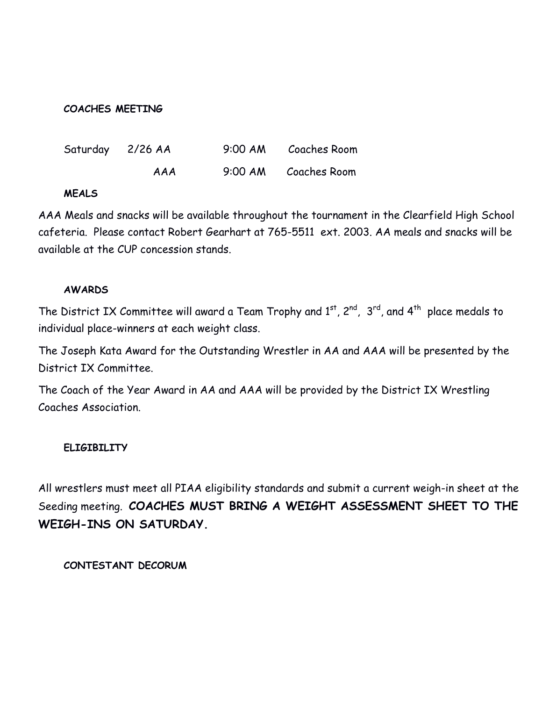#### **COACHES MEETING**

| Saturday 2/26 AA |     | 9:00 AM Coaches Room |
|------------------|-----|----------------------|
|                  | AAA | 9:00 AM Coaches Room |

#### **MEALS**

AAA Meals and snacks will be available throughout the tournament in the Clearfield High School cafeteria. Please contact Robert Gearhart at 765-5511 ext. 2003. AA meals and snacks will be available at the CUP concession stands.

### **AWARDS**

The District IX Committee will award a Team Trophy and  $1<sup>st</sup>$ ,  $2<sup>nd</sup>$ ,  $3<sup>rd</sup>$ , and  $4<sup>th</sup>$  place medals to individual place-winners at each weight class.

The Joseph Kata Award for the Outstanding Wrestler in AA and AAA will be presented by the District IX Committee.

The Coach of the Year Award in AA and AAA will be provided by the District IX Wrestling Coaches Association.

# **ELIGIBILITY**

All wrestlers must meet all PIAA eligibility standards and submit a current weigh-in sheet at the Seeding meeting. **COACHES MUST BRING A WEIGHT ASSESSMENT SHEET TO THE WEIGH-INS ON SATURDAY.**

**CONTESTANT DECORUM**